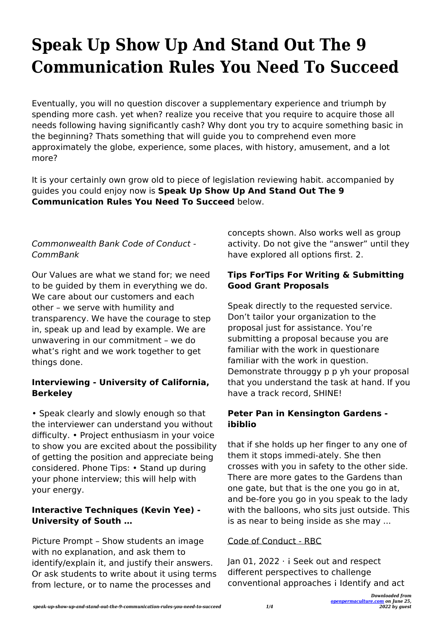# **Speak Up Show Up And Stand Out The 9 Communication Rules You Need To Succeed**

Eventually, you will no question discover a supplementary experience and triumph by spending more cash. yet when? realize you receive that you require to acquire those all needs following having significantly cash? Why dont you try to acquire something basic in the beginning? Thats something that will guide you to comprehend even more approximately the globe, experience, some places, with history, amusement, and a lot more?

It is your certainly own grow old to piece of legislation reviewing habit. accompanied by guides you could enjoy now is **Speak Up Show Up And Stand Out The 9 Communication Rules You Need To Succeed** below.

# Commonwealth Bank Code of Conduct - CommBank

Our Values are what we stand for; we need to be guided by them in everything we do. We care about our customers and each other – we serve with humility and transparency. We have the courage to step in, speak up and lead by example. We are unwavering in our commitment – we do what's right and we work together to get things done.

## **Interviewing - University of California, Berkeley**

• Speak clearly and slowly enough so that the interviewer can understand you without difficulty. • Project enthusiasm in your voice to show you are excited about the possibility of getting the position and appreciate being considered. Phone Tips: • Stand up during your phone interview; this will help with your energy.

## **Interactive Techniques (Kevin Yee) - University of South …**

Picture Prompt – Show students an image with no explanation, and ask them to identify/explain it, and justify their answers. Or ask students to write about it using terms from lecture, or to name the processes and

concepts shown. Also works well as group activity. Do not give the "answer" until they have explored all options first. 2.

#### **Tips ForTips For Writing & Submitting Good Grant Proposals**

Speak directly to the requested service. Don't tailor your organization to the proposal just for assistance. You're submitting a proposal because you are familiar with the work in questionare familiar with the work in question. Demonstrate througgy p p yh your proposal that you understand the task at hand. If you have a track record, SHINE!

#### **Peter Pan in Kensington Gardens ibiblio**

that if she holds up her finger to any one of them it stops immedi-ately. She then crosses with you in safety to the other side. There are more gates to the Gardens than one gate, but that is the one you go in at, and be-fore you go in you speak to the lady with the balloons, who sits just outside. This is as near to being inside as she may ...

#### Code of Conduct - RBC

Jan 01, 2022 · ¡ Seek out and respect different perspectives to challenge conventional approaches ¡ Identify and act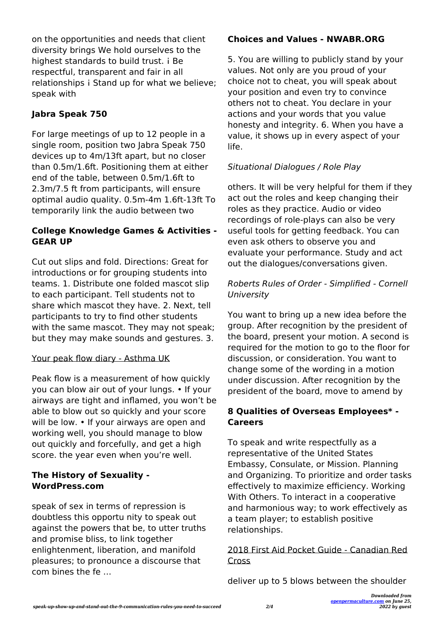on the opportunities and needs that client diversity brings We hold ourselves to the highest standards to build trust. i Be respectful, transparent and fair in all relationships i Stand up for what we believe; speak with

# **Jabra Speak 750**

For large meetings of up to 12 people in a single room, position two Jabra Speak 750 devices up to 4m/13ft apart, but no closer than 0.5m/1.6ft. Positioning them at either end of the table, between 0.5m/1.6ft to 2.3m/7.5 ft from participants, will ensure optimal audio quality. 0.5m-4m 1.6ft-13ft To temporarily link the audio between two

#### **College Knowledge Games & Activities - GEAR UP**

Cut out slips and fold. Directions: Great for introductions or for grouping students into teams. 1. Distribute one folded mascot slip to each participant. Tell students not to share which mascot they have. 2. Next, tell participants to try to find other students with the same mascot. They may not speak; but they may make sounds and gestures. 3.

#### Your peak flow diary - Asthma UK

Peak flow is a measurement of how quickly you can blow air out of your lungs. • If your airways are tight and inflamed, you won't be able to blow out so quickly and your score will be low. • If your airways are open and working well, you should manage to blow out quickly and forcefully, and get a high score. the year even when you're well.

## **The History of Sexuality - WordPress.com**

speak of sex in terms of repression is doubtless this opportu nity to speak out against the powers that be, to utter truths and promise bliss, to link together enlightenment, liberation, and manifold pleasures; to pronounce a discourse that com bines the fe …

#### **Choices and Values - NWABR.ORG**

5. You are willing to publicly stand by your values. Not only are you proud of your choice not to cheat, you will speak about your position and even try to convince others not to cheat. You declare in your actions and your words that you value honesty and integrity. 6. When you have a value, it shows up in every aspect of your life.

## Situational Dialogues / Role Play

others. It will be very helpful for them if they act out the roles and keep changing their roles as they practice. Audio or video recordings of role-plays can also be very useful tools for getting feedback. You can even ask others to observe you and evaluate your performance. Study and act out the dialogues/conversations given.

#### Roberts Rules of Order - Simplified - Cornell University

You want to bring up a new idea before the group. After recognition by the president of the board, present your motion. A second is required for the motion to go to the floor for discussion, or consideration. You want to change some of the wording in a motion under discussion. After recognition by the president of the board, move to amend by

#### **8 Qualities of Overseas Employees\* - Careers**

To speak and write respectfully as a representative of the United States Embassy, Consulate, or Mission. Planning and Organizing. To prioritize and order tasks effectively to maximize efficiency. Working With Others. To interact in a cooperative and harmonious way; to work effectively as a team player; to establish positive relationships.

2018 First Aid Pocket Guide - Canadian Red Cross

deliver up to 5 blows between the shoulder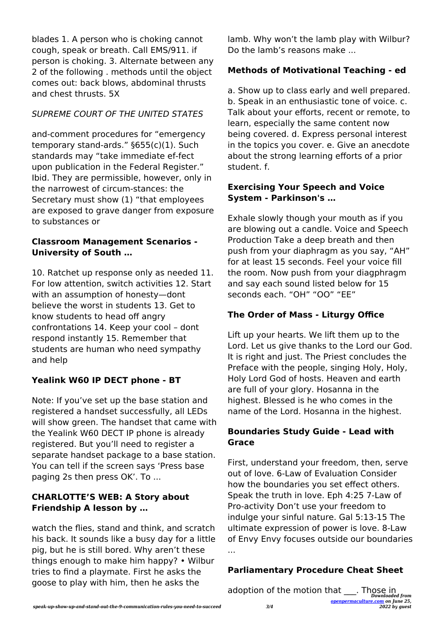blades 1. A person who is choking cannot cough, speak or breath. Call EMS/911. if person is choking. 3. Alternate between any 2 of the following . methods until the object comes out: back blows, abdominal thrusts and chest thrusts. 5X

# SUPREME COURT OF THE UNITED STATES

and-comment procedures for "emergency temporary stand-ards." §655(c)(1). Such standards may "take immediate ef-fect upon publication in the Federal Register." Ibid. They are permissible, however, only in the narrowest of circum-stances: the Secretary must show (1) "that employees are exposed to grave danger from exposure to substances or

#### **Classroom Management Scenarios - University of South …**

10. Ratchet up response only as needed 11. For low attention, switch activities 12. Start with an assumption of honesty—dont believe the worst in students 13. Get to know students to head off angry confrontations 14. Keep your cool – dont respond instantly 15. Remember that students are human who need sympathy and help

#### **Yealink W60 IP DECT phone - BT**

Note: If you've set up the base station and registered a handset successfully, all LEDs will show green. The handset that came with the Yealink W60 DECT IP phone is already registered. But you'll need to register a separate handset package to a base station. You can tell if the screen says 'Press base paging 2s then press OK'. To ...

#### **CHARLOTTE'S WEB: A Story about Friendship A lesson by …**

watch the flies, stand and think, and scratch his back. It sounds like a busy day for a little pig, but he is still bored. Why aren't these things enough to make him happy? • Wilbur tries to find a playmate. First he asks the goose to play with him, then he asks the

lamb. Why won't the lamb play with Wilbur? Do the lamb's reasons make ...

#### **Methods of Motivational Teaching - ed**

a. Show up to class early and well prepared. b. Speak in an enthusiastic tone of voice. c. Talk about your efforts, recent or remote, to learn, especially the same content now being covered. d. Express personal interest in the topics you cover. e. Give an anecdote about the strong learning efforts of a prior student. f.

#### **Exercising Your Speech and Voice System - Parkinson's …**

Exhale slowly though your mouth as if you are blowing out a candle. Voice and Speech Production Take a deep breath and then push from your diaphragm as you say, "AH" for at least 15 seconds. Feel your voice fill the room. Now push from your diagphragm and say each sound listed below for 15 seconds each. "OH" "OO" "EE"

#### **The Order of Mass - Liturgy Office**

Lift up your hearts. We lift them up to the Lord. Let us give thanks to the Lord our God. It is right and just. The Priest concludes the Preface with the people, singing Holy, Holy, Holy Lord God of hosts. Heaven and earth are full of your glory. Hosanna in the highest. Blessed is he who comes in the name of the Lord. Hosanna in the highest.

#### **Boundaries Study Guide - Lead with Grace**

First, understand your freedom, then, serve out of love. 6-Law of Evaluation Consider how the boundaries you set effect others. Speak the truth in love. Eph 4:25 7-Law of Pro-activity Don't use your freedom to indulge your sinful nature. Gal 5:13-15 The ultimate expression of power is love. 8-Law of Envy Envy focuses outside our boundaries ...

#### **Parliamentary Procedure Cheat Sheet**

adoption of the motion that <sub>10</sub>. Those in *Downloaded from*